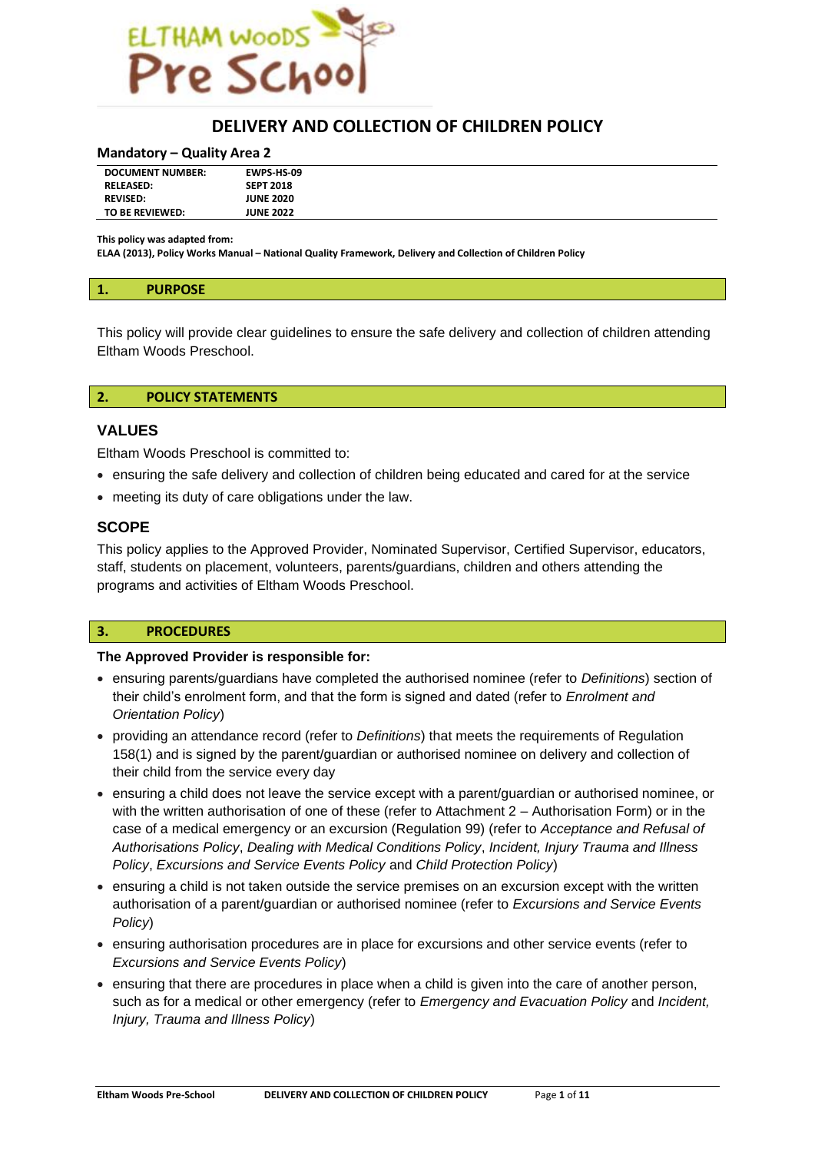

## **DELIVERY AND COLLECTION OF CHILDREN POLICY**

#### **Mandatory – Quality Area 2**

| <b>DOCUMENT NUMBER:</b> | EWPS HS 09       |  |
|-------------------------|------------------|--|
| <b>RELEASED:</b>        | <b>SEPT 2018</b> |  |
| <b>REVISED:</b>         | <b>JUNE 2020</b> |  |
| TO BE REVIEWED:         | <b>JUNE 2022</b> |  |

**This policy was adapted from:**

**ELAA (2013), Policy Works Manual – National Quality Framework, Delivery and Collection of Children Policy**

This policy will provide clear guidelines to ensure the safe delivery and collection of children attending Eltham Woods Preschool.

#### **2. POLICY STATEMENTS**

## **VALUES**

Eltham Woods Preschool is committed to:

- ensuring the safe delivery and collection of children being educated and cared for at the service
- meeting its duty of care obligations under the law.

## **SCOPE**

This policy applies to the Approved Provider, Nominated Supervisor, Certified Supervisor, educators, staff, students on placement, volunteers, parents/guardians, children and others attending the programs and activities of Eltham Woods Preschool.

#### **3. PROCEDURES**

#### **The Approved Provider is responsible for:**

- ensuring parents/guardians have completed the authorised nominee (refer to *Definitions*) section of their child's enrolment form, and that the form is signed and dated (refer to *Enrolment and Orientation Policy*)
- providing an attendance record (refer to *Definitions*) that meets the requirements of Regulation 158(1) and is signed by the parent/guardian or authorised nominee on delivery and collection of their child from the service every day
- ensuring a child does not leave the service except with a parent/guardian or authorised nominee, or with the written authorisation of one of these (refer to Attachment 2 – Authorisation Form) or in the case of a medical emergency or an excursion (Regulation 99) (refer to *Acceptance and Refusal of Authorisations Policy*, *Dealing with Medical Conditions Policy*, *Incident, Injury Trauma and Illness Policy*, *Excursions and Service Events Policy* and *Child Protection Policy*)
- ensuring a child is not taken outside the service premises on an excursion except with the written authorisation of a parent/guardian or authorised nominee (refer to *Excursions and Service Events Policy*)
- ensuring authorisation procedures are in place for excursions and other service events (refer to *Excursions and Service Events Policy*)
- ensuring that there are procedures in place when a child is given into the care of another person, such as for a medical or other emergency (refer to *Emergency and Evacuation Policy* and *Incident, Injury, Trauma and Illness Policy*)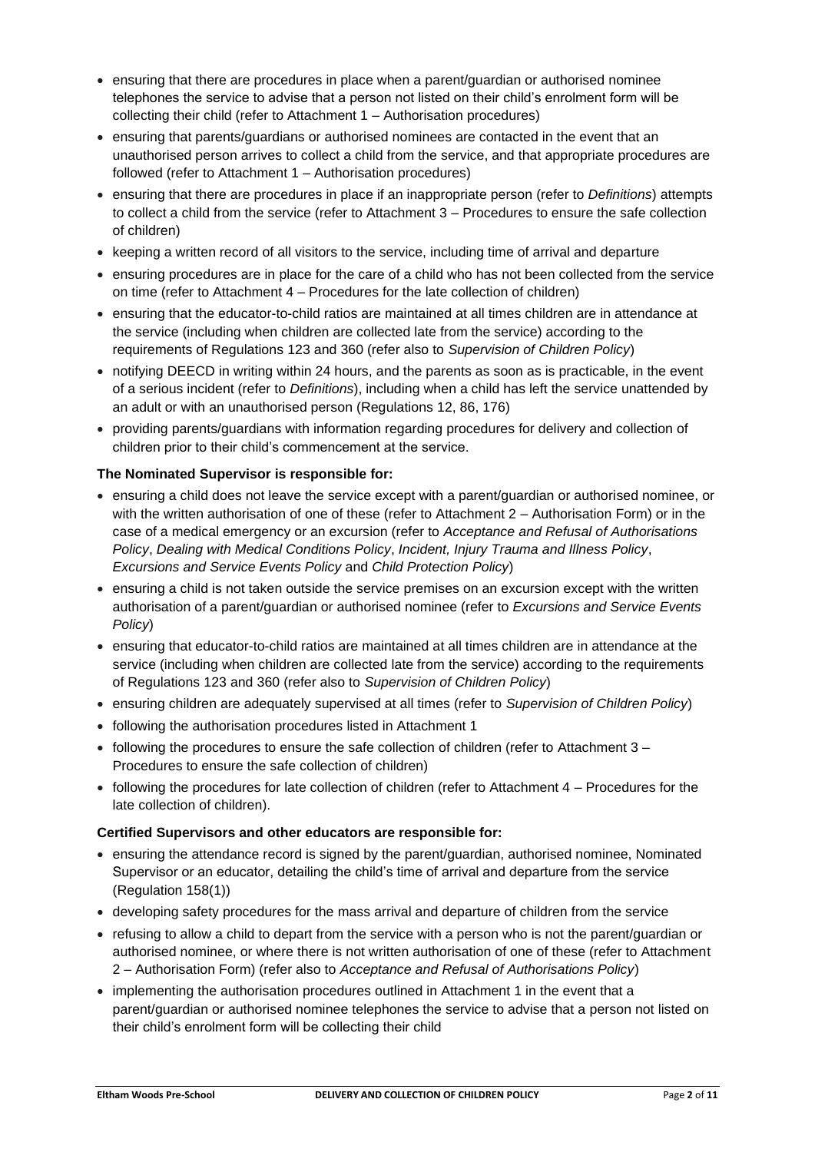- ensuring that there are procedures in place when a parent/guardian or authorised nominee telephones the service to advise that a person not listed on their child's enrolment form will be collecting their child (refer to Attachment 1 – Authorisation procedures)
- ensuring that parents/guardians or authorised nominees are contacted in the event that an unauthorised person arrives to collect a child from the service, and that appropriate procedures are followed (refer to Attachment 1 – Authorisation procedures)
- ensuring that there are procedures in place if an inappropriate person (refer to *Definitions*) attempts to collect a child from the service (refer to Attachment 3 – Procedures to ensure the safe collection of children)
- keeping a written record of all visitors to the service, including time of arrival and departure
- ensuring procedures are in place for the care of a child who has not been collected from the service on time (refer to Attachment 4 – Procedures for the late collection of children)
- ensuring that the educator-to-child ratios are maintained at all times children are in attendance at the service (including when children are collected late from the service) according to the requirements of Regulations 123 and 360 (refer also to *Supervision of Children Policy*)
- notifying DEECD in writing within 24 hours, and the parents as soon as is practicable, in the event of a serious incident (refer to *Definitions*), including when a child has left the service unattended by an adult or with an unauthorised person (Regulations 12, 86, 176)
- providing parents/guardians with information regarding procedures for delivery and collection of children prior to their child's commencement at the service.

## **The Nominated Supervisor is responsible for:**

- ensuring a child does not leave the service except with a parent/guardian or authorised nominee, or with the written authorisation of one of these (refer to Attachment 2 – Authorisation Form) or in the case of a medical emergency or an excursion (refer to *Acceptance and Refusal of Authorisations Policy*, *Dealing with Medical Conditions Policy*, *Incident, Injury Trauma and Illness Policy*, *Excursions and Service Events Policy* and *Child Protection Policy*)
- ensuring a child is not taken outside the service premises on an excursion except with the written authorisation of a parent/guardian or authorised nominee (refer to *Excursions and Service Events Policy*)
- ensuring that educator-to-child ratios are maintained at all times children are in attendance at the service (including when children are collected late from the service) according to the requirements of Regulations 123 and 360 (refer also to *Supervision of Children Policy*)
- ensuring children are adequately supervised at all times (refer to *Supervision of Children Policy*)
- following the authorisation procedures listed in Attachment 1
- following the procedures to ensure the safe collection of children (refer to Attachment 3 Procedures to ensure the safe collection of children)
- following the procedures for late collection of children (refer to Attachment 4 Procedures for the late collection of children).

## **Certified Supervisors and other educators are responsible for:**

- ensuring the attendance record is signed by the parent/guardian, authorised nominee, Nominated Supervisor or an educator, detailing the child's time of arrival and departure from the service (Regulation 158(1))
- developing safety procedures for the mass arrival and departure of children from the service
- refusing to allow a child to depart from the service with a person who is not the parent/guardian or authorised nominee, or where there is not written authorisation of one of these (refer to Attachment 2 – Authorisation Form) (refer also to *Acceptance and Refusal of Authorisations Policy*)
- implementing the authorisation procedures outlined in Attachment 1 in the event that a parent/guardian or authorised nominee telephones the service to advise that a person not listed on their child's enrolment form will be collecting their child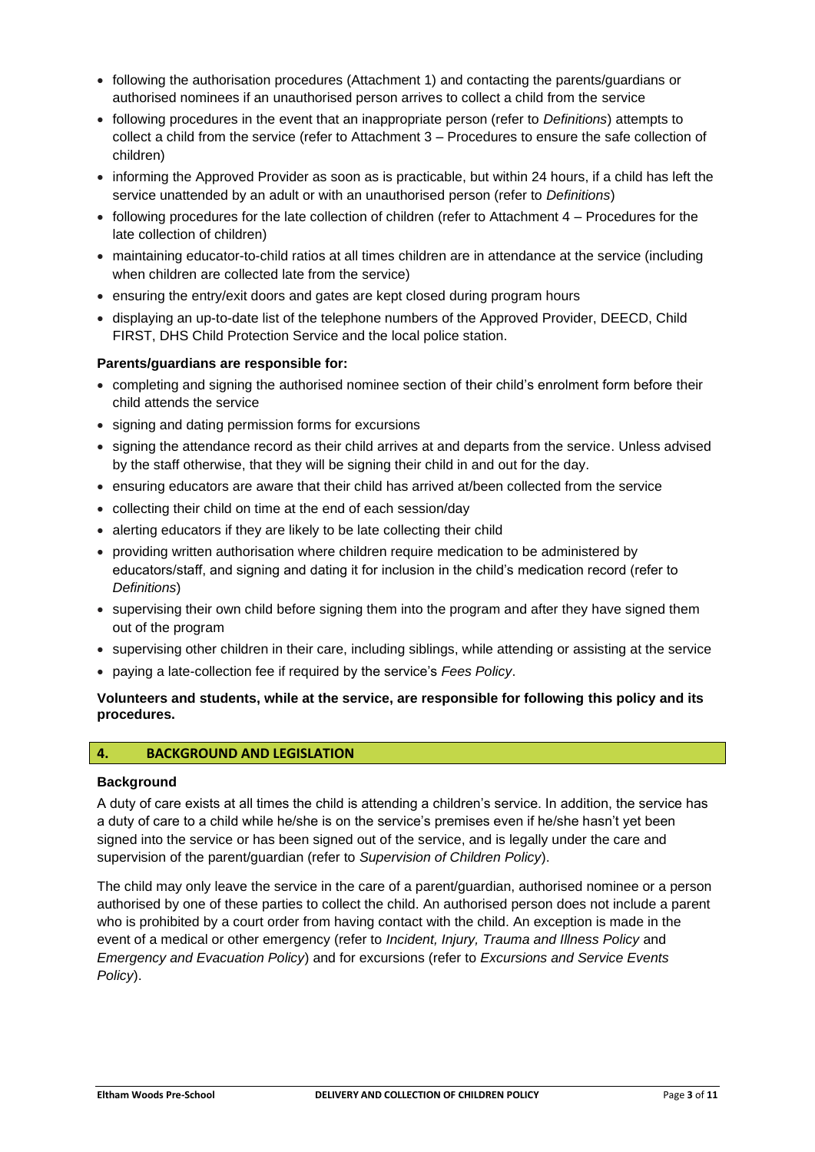- following the authorisation procedures (Attachment 1) and contacting the parents/guardians or authorised nominees if an unauthorised person arrives to collect a child from the service
- following procedures in the event that an inappropriate person (refer to *Definitions*) attempts to collect a child from the service (refer to Attachment 3 – Procedures to ensure the safe collection of children)
- informing the Approved Provider as soon as is practicable, but within 24 hours, if a child has left the service unattended by an adult or with an unauthorised person (refer to *Definitions*)
- following procedures for the late collection of children (refer to Attachment 4 Procedures for the late collection of children)
- maintaining educator-to-child ratios at all times children are in attendance at the service (including when children are collected late from the service)
- ensuring the entry/exit doors and gates are kept closed during program hours
- displaying an up-to-date list of the telephone numbers of the Approved Provider, DEECD, Child FIRST, DHS Child Protection Service and the local police station.

## **Parents/guardians are responsible for:**

- completing and signing the authorised nominee section of their child's enrolment form before their child attends the service
- signing and dating permission forms for excursions
- signing the attendance record as their child arrives at and departs from the service. Unless advised by the staff otherwise, that they will be signing their child in and out for the day.
- ensuring educators are aware that their child has arrived at/been collected from the service
- collecting their child on time at the end of each session/day
- alerting educators if they are likely to be late collecting their child
- providing written authorisation where children require medication to be administered by educators/staff, and signing and dating it for inclusion in the child's medication record (refer to *Definitions*)
- supervising their own child before signing them into the program and after they have signed them out of the program
- supervising other children in their care, including siblings, while attending or assisting at the service
- paying a late-collection fee if required by the service's *Fees Policy*.

## **Volunteers and students, while at the service, are responsible for following this policy and its procedures.**

## **4. BACKGROUND AND LEGISLATION**

## **Background**

A duty of care exists at all times the child is attending a children's service. In addition, the service has a duty of care to a child while he/she is on the service's premises even if he/she hasn't yet been signed into the service or has been signed out of the service, and is legally under the care and supervision of the parent/guardian (refer to *Supervision of Children Policy*).

The child may only leave the service in the care of a parent/guardian, authorised nominee or a person authorised by one of these parties to collect the child. An authorised person does not include a parent who is prohibited by a court order from having contact with the child. An exception is made in the event of a medical or other emergency (refer to *Incident, Injury, Trauma and Illness Policy* and *Emergency and Evacuation Policy*) and for excursions (refer to *Excursions and Service Events Policy*).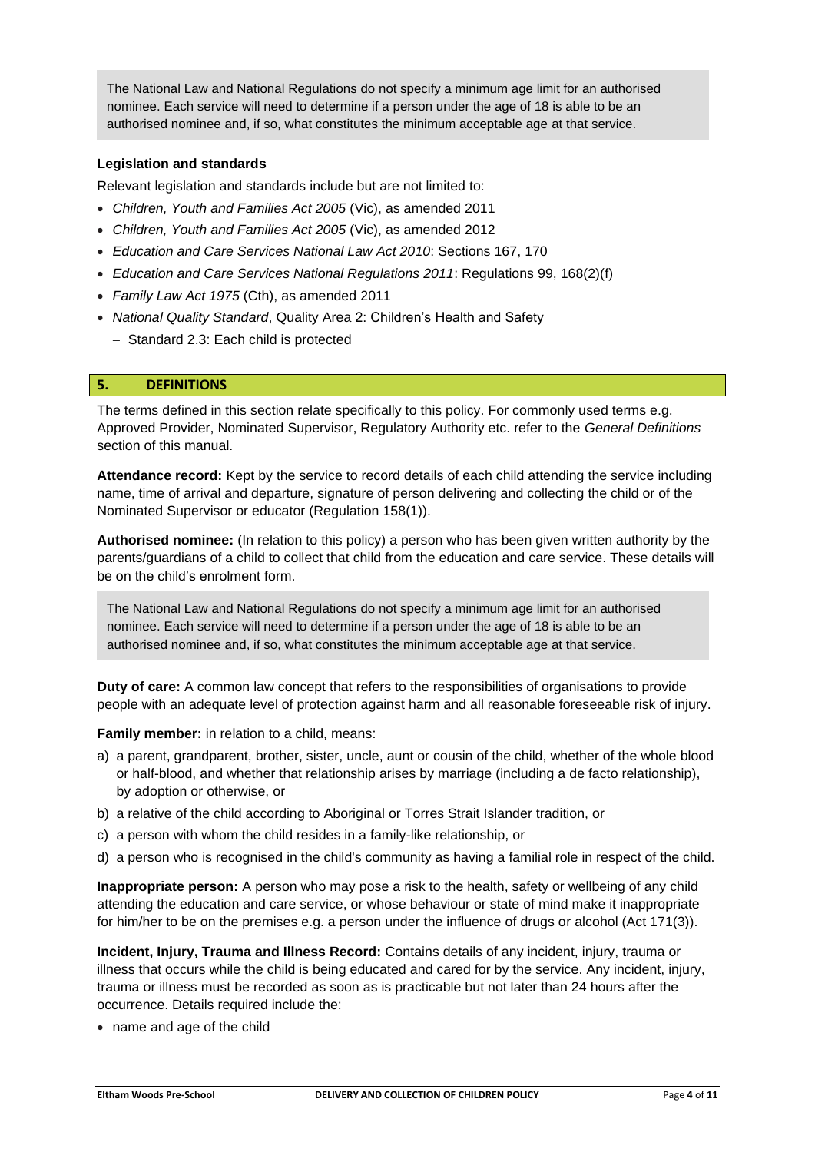The National Law and National Regulations do not specify a minimum age limit for an authorised nominee. Each service will need to determine if a person under the age of 18 is able to be an authorised nominee and, if so, what constitutes the minimum acceptable age at that service.

### **Legislation and standards**

Relevant legislation and standards include but are not limited to:

- *Children, Youth and Families Act 2005* (Vic), as amended 2011
- *Children, Youth and Families Act 2005* (Vic), as amended 2012
- *Education and Care Services National Law Act 2010*: Sections 167, 170
- *Education and Care Services National Regulations 2011*: Regulations 99, 168(2)(f)
- *Family Law Act 1975* (Cth), as amended 2011
- *National Quality Standard*, Quality Area 2: Children's Health and Safety
	- − Standard 2.3: Each child is protected

#### **5. DEFINITIONS**

The terms defined in this section relate specifically to this policy. For commonly used terms e.g. Approved Provider, Nominated Supervisor, Regulatory Authority etc. refer to the *General Definitions* section of this manual.

**Attendance record:** Kept by the service to record details of each child attending the service including name, time of arrival and departure, signature of person delivering and collecting the child or of the Nominated Supervisor or educator (Regulation 158(1)).

**Authorised nominee:** (In relation to this policy) a person who has been given written authority by the parents/guardians of a child to collect that child from the education and care service. These details will be on the child's enrolment form.

The National Law and National Regulations do not specify a minimum age limit for an authorised nominee. Each service will need to determine if a person under the age of 18 is able to be an authorised nominee and, if so, what constitutes the minimum acceptable age at that service.

**Duty of care:** A common law concept that refers to the responsibilities of organisations to provide people with an adequate level of protection against harm and all reasonable foreseeable risk of injury.

**Family member:** in relation to a child, means:

- a) a parent, grandparent, brother, sister, uncle, aunt or cousin of the child, whether of the whole blood or half-blood, and whether that relationship arises by marriage (including a de facto relationship), by adoption or otherwise, or
- b) a relative of the child according to Aboriginal or Torres Strait Islander tradition, or
- c) a person with whom the child resides in a family-like relationship, or
- d) a person who is recognised in the child's community as having a familial role in respect of the child.

**Inappropriate person:** A person who may pose a risk to the health, safety or wellbeing of any child attending the education and care service, or whose behaviour or state of mind make it inappropriate for him/her to be on the premises e.g. a person under the influence of drugs or alcohol (Act 171(3)).

**Incident, Injury, Trauma and Illness Record:** Contains details of any incident, injury, trauma or illness that occurs while the child is being educated and cared for by the service. Any incident, injury, trauma or illness must be recorded as soon as is practicable but not later than 24 hours after the occurrence. Details required include the:

• name and age of the child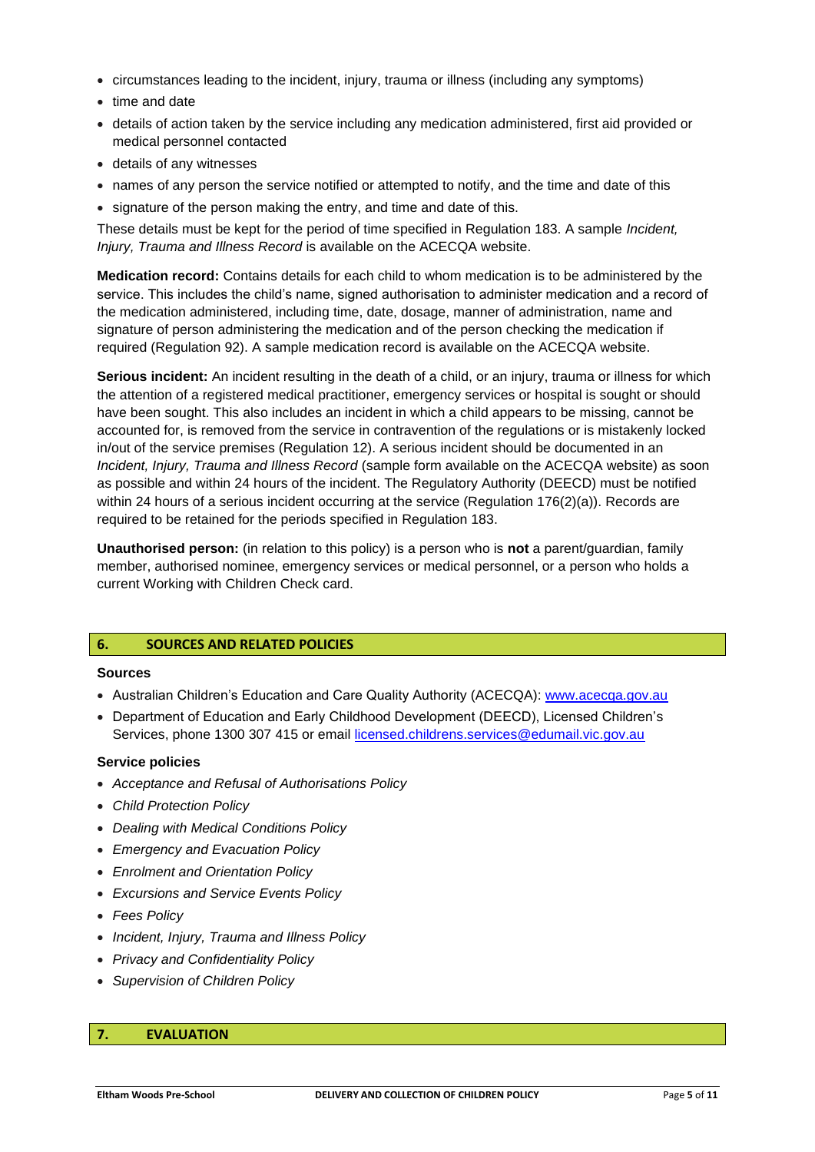- circumstances leading to the incident, injury, trauma or illness (including any symptoms)
- time and date
- details of action taken by the service including any medication administered, first aid provided or medical personnel contacted
- details of any witnesses
- names of any person the service notified or attempted to notify, and the time and date of this
- signature of the person making the entry, and time and date of this.

These details must be kept for the period of time specified in Regulation 183. A sample *Incident, Injury, Trauma and Illness Record* is available on the ACECQA website.

**Medication record:** Contains details for each child to whom medication is to be administered by the service. This includes the child's name, signed authorisation to administer medication and a record of the medication administered, including time, date, dosage, manner of administration, name and signature of person administering the medication and of the person checking the medication if required (Regulation 92). A sample medication record is available on the ACECQA website.

**Serious incident:** An incident resulting in the death of a child, or an injury, trauma or illness for which the attention of a registered medical practitioner, emergency services or hospital is sought or should have been sought. This also includes an incident in which a child appears to be missing, cannot be accounted for, is removed from the service in contravention of the regulations or is mistakenly locked in/out of the service premises (Regulation 12). A serious incident should be documented in an *Incident, Injury, Trauma and Illness Record* (sample form available on the ACECQA website) as soon as possible and within 24 hours of the incident. The Regulatory Authority (DEECD) must be notified within 24 hours of a serious incident occurring at the service (Regulation 176(2)(a)). Records are required to be retained for the periods specified in Regulation 183.

**Unauthorised person:** (in relation to this policy) is a person who is **not** a parent/guardian, family member, authorised nominee, emergency services or medical personnel, or a person who holds a current Working with Children Check card.

#### **6. SOURCES AND RELATED POLICIES**

#### **Sources**

- Australian Children's Education and Care Quality Authority (ACECQA): [www.acecqa.gov.au](http://www.acecqa.gov.au/)
- Department of Education and Early Childhood Development (DEECD), Licensed Children's Services, phone 1300 307 415 or email [licensed.childrens.services@edumail.vic.gov.au](mailto:licensed.childrens.services@edumail.vic.gov.au)

#### **Service policies**

- *Acceptance and Refusal of Authorisations Policy*
- *Child Protection Policy*
- *Dealing with Medical Conditions Policy*
- *Emergency and Evacuation Policy*
- *Enrolment and Orientation Policy*
- *Excursions and Service Events Policy*
- *Fees Policy*
- *Incident, Injury, Trauma and Illness Policy*
- *Privacy and Confidentiality Policy*
- *Supervision of Children Policy*

#### **7. EVALUATION**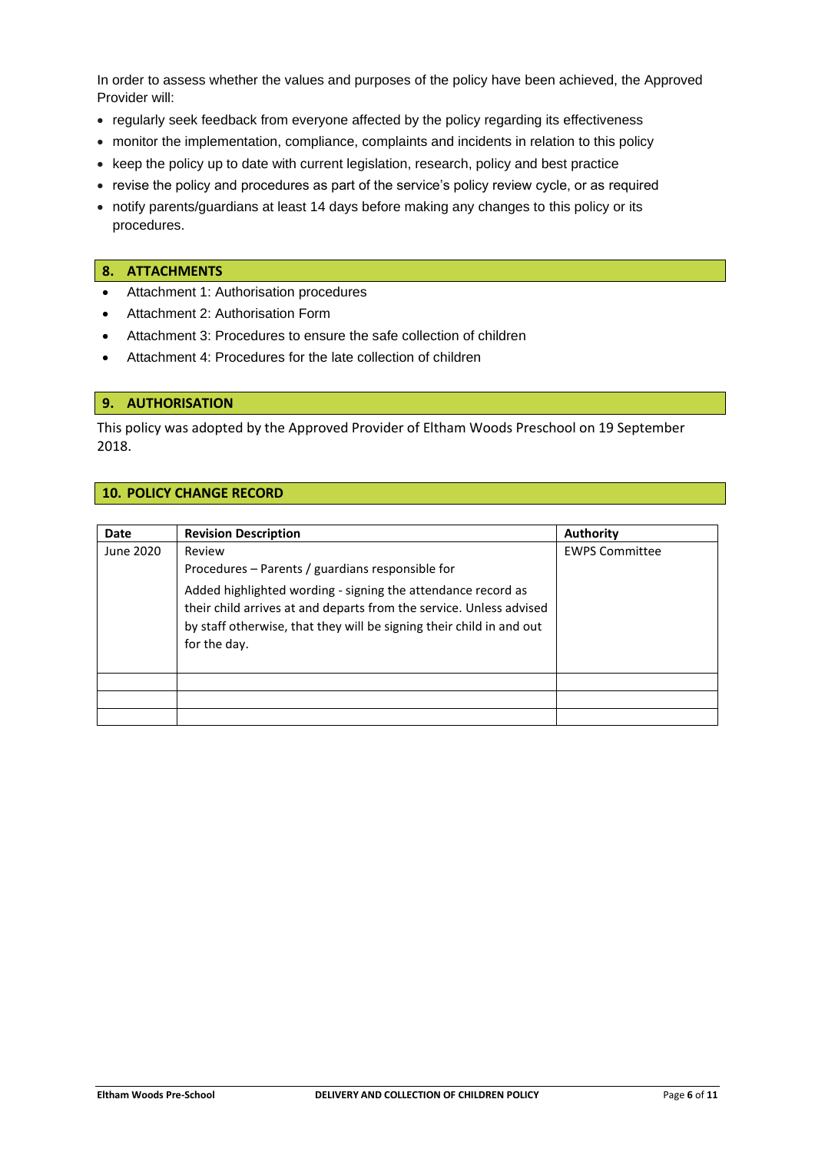In order to assess whether the values and purposes of the policy have been achieved, the Approved Provider will:

- regularly seek feedback from everyone affected by the policy regarding its effectiveness
- monitor the implementation, compliance, complaints and incidents in relation to this policy
- keep the policy up to date with current legislation, research, policy and best practice
- revise the policy and procedures as part of the service's policy review cycle, or as required
- notify parents/guardians at least 14 days before making any changes to this policy or its procedures.

#### **8. ATTACHMENTS**

- Attachment 1: Authorisation procedures
- Attachment 2: Authorisation Form
- Attachment 3: Procedures to ensure the safe collection of children
- Attachment 4: Procedures for the late collection of children

#### **9. AUTHORISATION**

This policy was adopted by the Approved Provider of Eltham Woods Preschool on 19 September 2018.

## **10. POLICY CHANGE RECORD**

| Date      | <b>Revision Description</b>                                          | Authority             |
|-----------|----------------------------------------------------------------------|-----------------------|
| June 2020 | Review                                                               | <b>EWPS Committee</b> |
|           | Procedures – Parents / guardians responsible for                     |                       |
|           | Added highlighted wording - signing the attendance record as         |                       |
|           | their child arrives at and departs from the service. Unless advised  |                       |
|           | by staff otherwise, that they will be signing their child in and out |                       |
|           | for the day.                                                         |                       |
|           |                                                                      |                       |
|           |                                                                      |                       |
|           |                                                                      |                       |
|           |                                                                      |                       |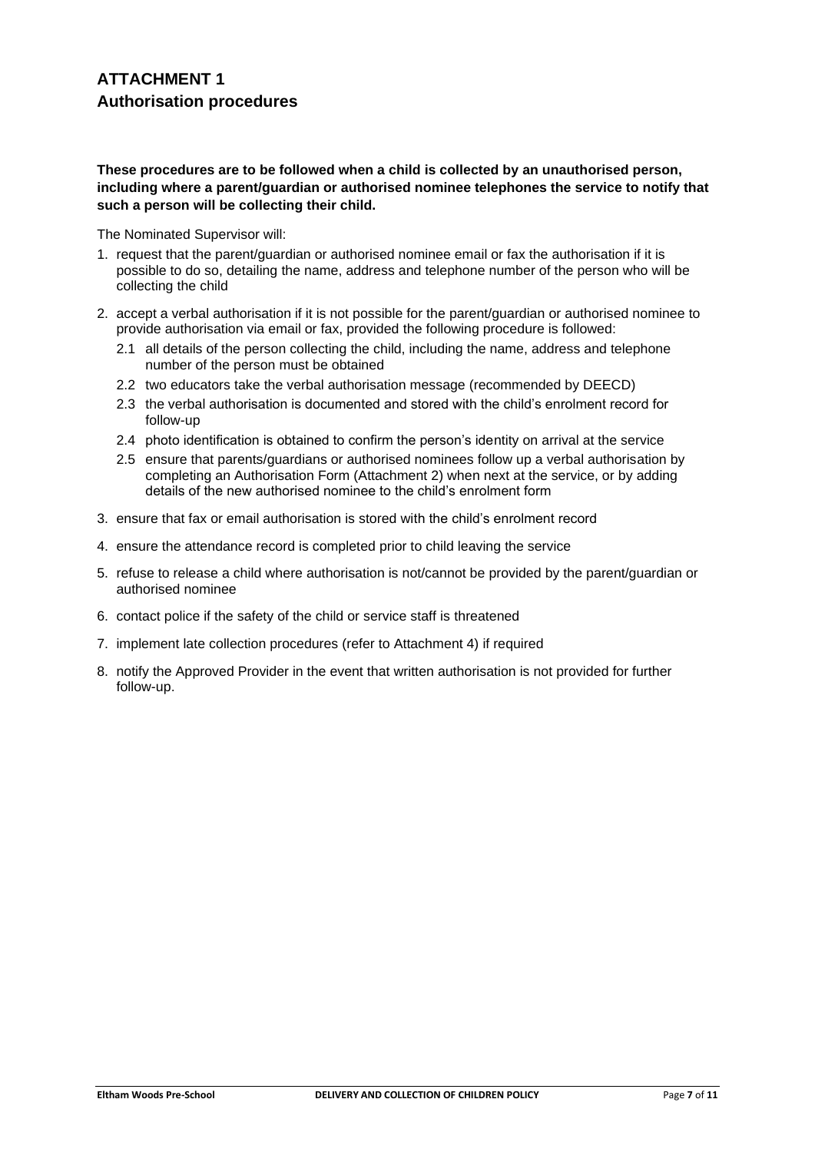## **These procedures are to be followed when a child is collected by an unauthorised person, including where a parent/guardian or authorised nominee telephones the service to notify that such a person will be collecting their child.**

The Nominated Supervisor will:

- 1. request that the parent/guardian or authorised nominee email or fax the authorisation if it is possible to do so, detailing the name, address and telephone number of the person who will be collecting the child
- 2. accept a verbal authorisation if it is not possible for the parent/guardian or authorised nominee to provide authorisation via email or fax, provided the following procedure is followed:
	- 2.1 all details of the person collecting the child, including the name, address and telephone number of the person must be obtained
	- 2.2 two educators take the verbal authorisation message (recommended by DEECD)
	- 2.3 the verbal authorisation is documented and stored with the child's enrolment record for follow-up
	- 2.4 photo identification is obtained to confirm the person's identity on arrival at the service
	- 2.5 ensure that parents/guardians or authorised nominees follow up a verbal authorisation by completing an Authorisation Form (Attachment 2) when next at the service, or by adding details of the new authorised nominee to the child's enrolment form
- 3. ensure that fax or email authorisation is stored with the child's enrolment record
- 4. ensure the attendance record is completed prior to child leaving the service
- 5. refuse to release a child where authorisation is not/cannot be provided by the parent/guardian or authorised nominee
- 6. contact police if the safety of the child or service staff is threatened
- 7. implement late collection procedures (refer to Attachment 4) if required
- 8. notify the Approved Provider in the event that written authorisation is not provided for further follow-up.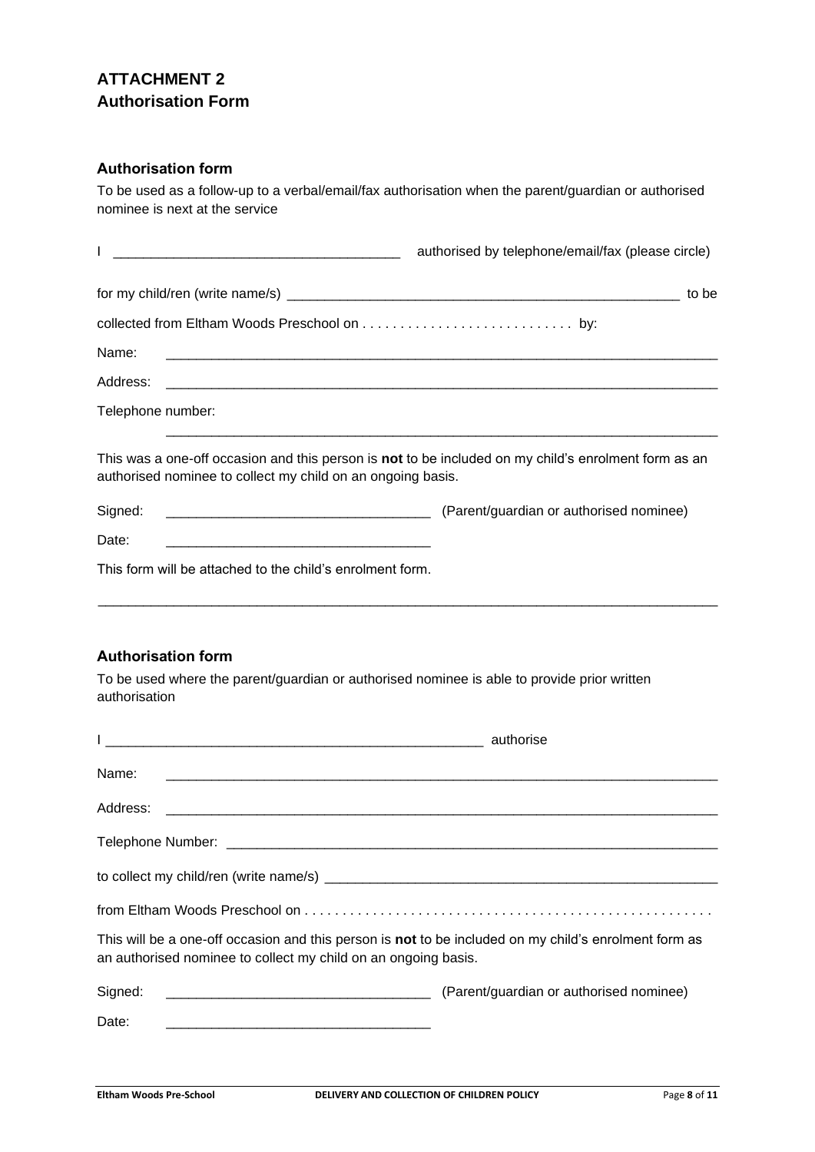# **ATTACHMENT 2 Authorisation Form**

## **Authorisation form**

To be used as a follow-up to a verbal/email/fax authorisation when the parent/guardian or authorised nominee is next at the service

|                                                                                                              | authorised by telephone/email/fax (please circle)                                                    |
|--------------------------------------------------------------------------------------------------------------|------------------------------------------------------------------------------------------------------|
|                                                                                                              |                                                                                                      |
|                                                                                                              |                                                                                                      |
| Name:                                                                                                        |                                                                                                      |
|                                                                                                              |                                                                                                      |
| Telephone number:                                                                                            |                                                                                                      |
| authorised nominee to collect my child on an ongoing basis.                                                  | This was a one-off occasion and this person is not to be included on my child's enrolment form as an |
| Signed:                                                                                                      |                                                                                                      |
| Date:                                                                                                        |                                                                                                      |
| This form will be attached to the child's enrolment form.                                                    |                                                                                                      |
|                                                                                                              |                                                                                                      |
| <b>Authorisation form</b>                                                                                    |                                                                                                      |
| To be used where the parent/guardian or authorised nominee is able to provide prior written<br>authorisation |                                                                                                      |

| <u> 1990 - Jan James James James James James James James James James James James James James James James James</u>                                                      | authorise                               |
|-------------------------------------------------------------------------------------------------------------------------------------------------------------------------|-----------------------------------------|
| Name:                                                                                                                                                                   |                                         |
|                                                                                                                                                                         |                                         |
|                                                                                                                                                                         |                                         |
|                                                                                                                                                                         |                                         |
|                                                                                                                                                                         |                                         |
| This will be a one-off occasion and this person is not to be included on my child's enrolment form as<br>an authorised nominee to collect my child on an ongoing basis. |                                         |
| Signed:                                                                                                                                                                 | (Parent/guardian or authorised nominee) |
| Date:                                                                                                                                                                   |                                         |
|                                                                                                                                                                         |                                         |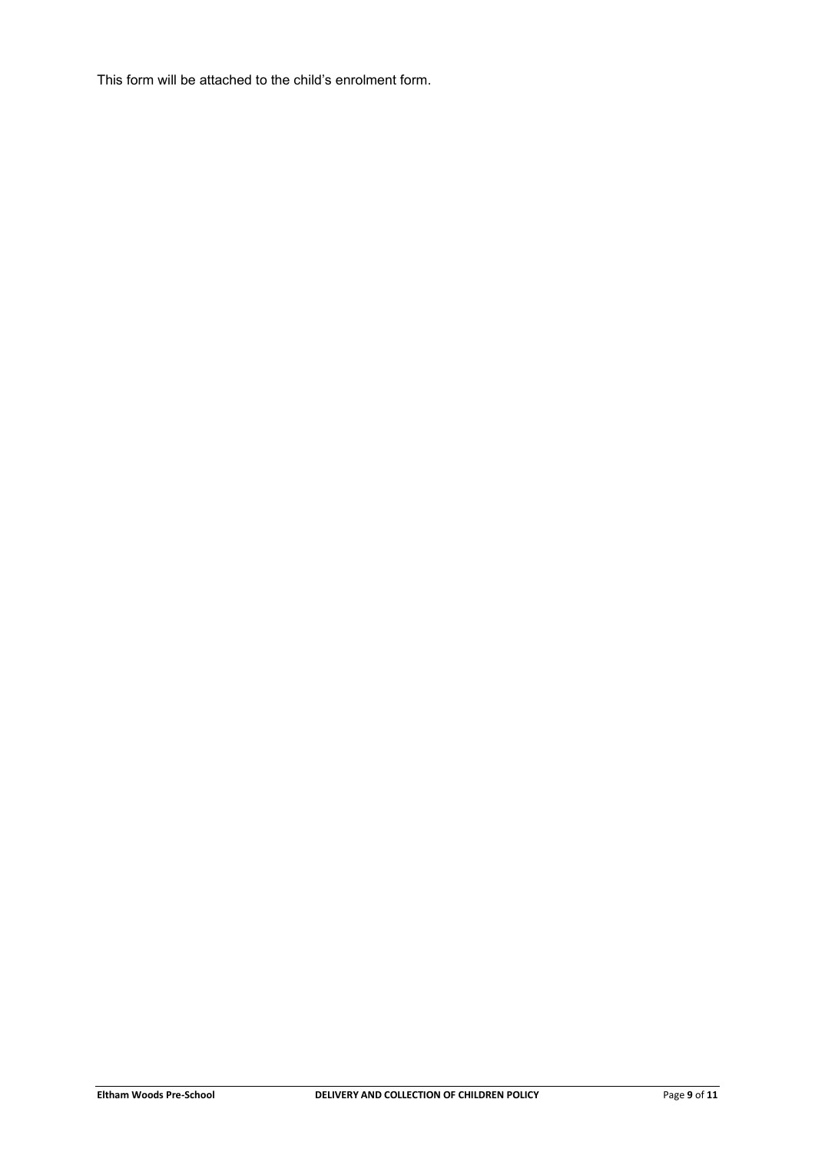This form will be attached to the child's enrolment form.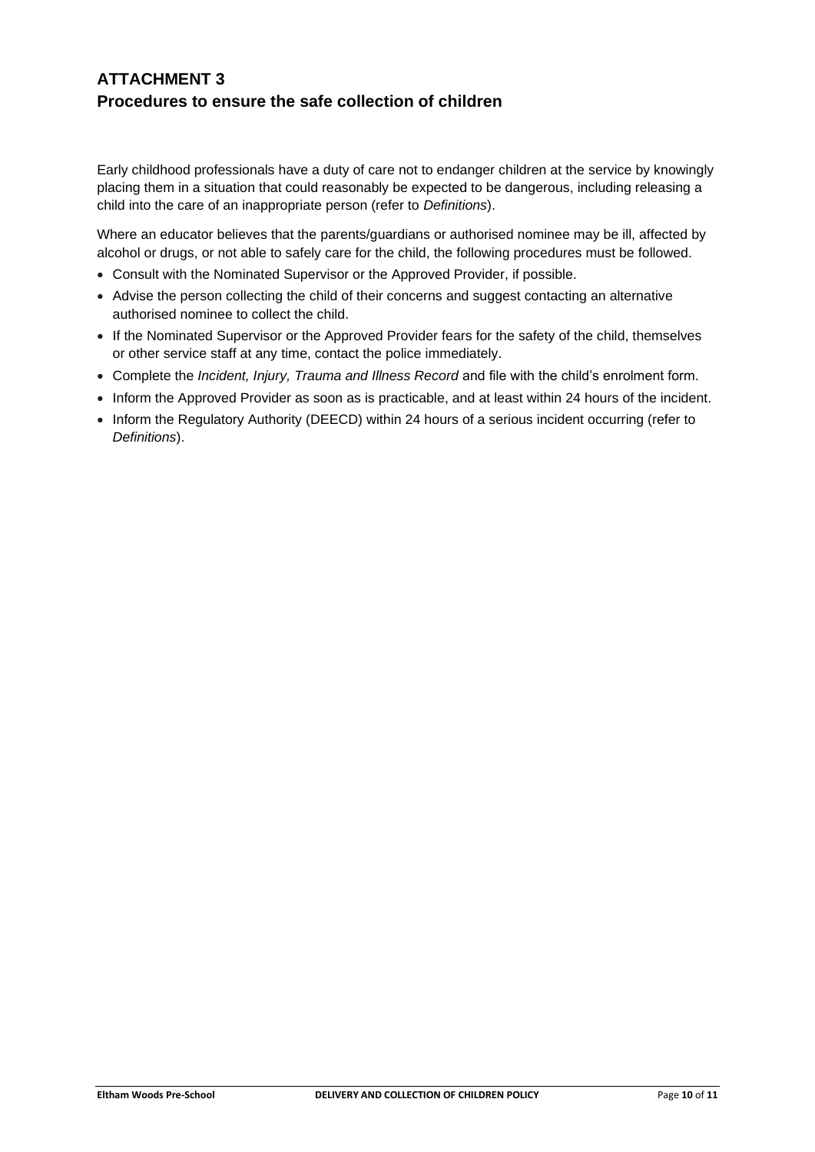## **ATTACHMENT 3 Procedures to ensure the safe collection of children**

Early childhood professionals have a duty of care not to endanger children at the service by knowingly placing them in a situation that could reasonably be expected to be dangerous, including releasing a child into the care of an inappropriate person (refer to *Definitions*).

Where an educator believes that the parents/guardians or authorised nominee may be ill, affected by alcohol or drugs, or not able to safely care for the child, the following procedures must be followed.

- Consult with the Nominated Supervisor or the Approved Provider, if possible.
- Advise the person collecting the child of their concerns and suggest contacting an alternative authorised nominee to collect the child.
- If the Nominated Supervisor or the Approved Provider fears for the safety of the child, themselves or other service staff at any time, contact the police immediately.
- Complete the *Incident, Injury, Trauma and Illness Record* and file with the child's enrolment form.
- Inform the Approved Provider as soon as is practicable, and at least within 24 hours of the incident.
- Inform the Regulatory Authority (DEECD) within 24 hours of a serious incident occurring (refer to *Definitions*).